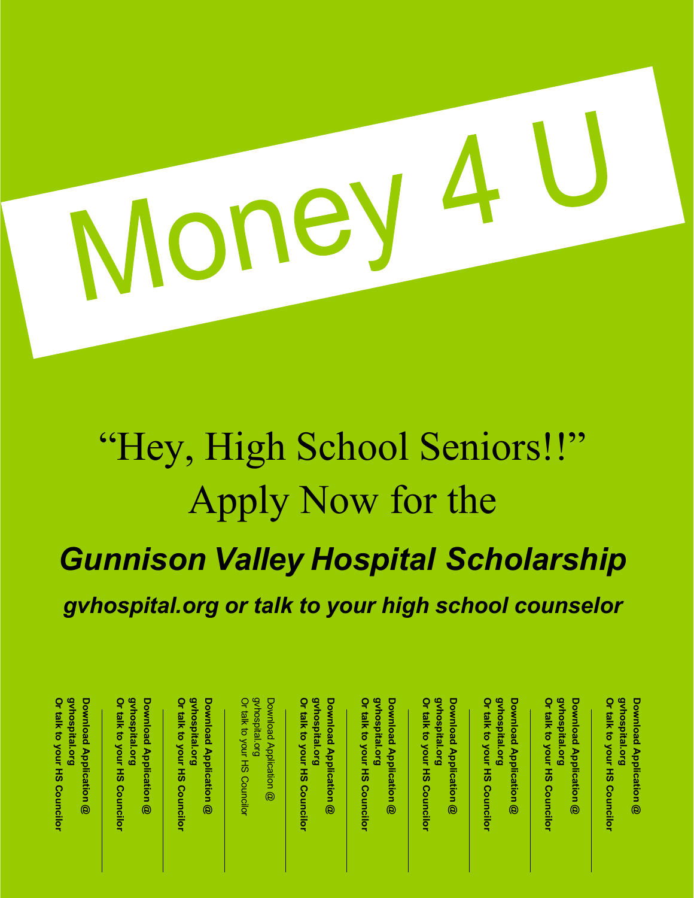# Money

# "Hey, High School Seniors!!" Apply Now for the *Gunnison Valley Hospital Scholarship gvhospital.org or talk to your high school counselor*

| gvhospital.org<br>gvhospital.org<br>gvhospital.org<br>Or talk to your HS Councilor<br>gvhospital.org<br>Or talk to your HS Councilor<br>Or talk to your HS Councilor<br>Or talk to your HS Councilor<br>Download Application @<br>Download Application @<br>Download Application @ |
|------------------------------------------------------------------------------------------------------------------------------------------------------------------------------------------------------------------------------------------------------------------------------------|
|                                                                                                                                                                                                                                                                                    |
|                                                                                                                                                                                                                                                                                    |
| gvhospital.org<br>Or talk to your HS Councilor<br>Download Application @                                                                                                                                                                                                           |
| Or talk to your HS Councilor<br>gvhospital.org<br>Download Application @                                                                                                                                                                                                           |

**your**

gvhospital.org **Download Application** @ **Or gvhospital.org Download talk to your Application HS Councilor**

gvhospital.org **Or gvhospital.org Download Application Download talk to your Application HS Councilor**

**Download Application Or** gvnospital.org **gvhospital.org Download Application @**

**talk to your HS Councilor**

gvhospital.org **Download Application gvhospital.org Download Application**

**Or talk to your HS Councilor**

**Download Application** Download Application @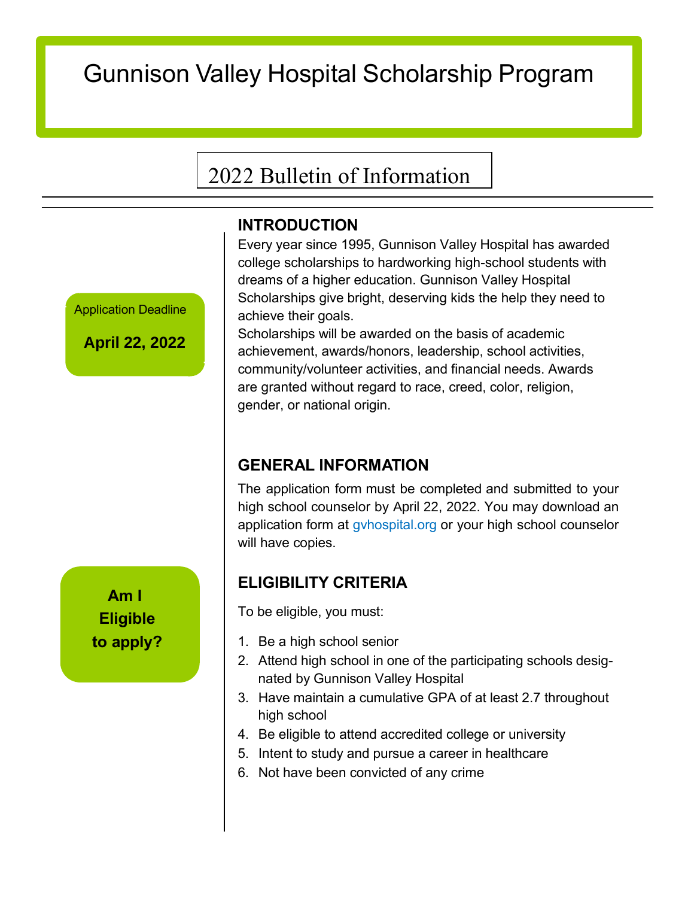# Gunnison Valley Hospital Scholarship Program

# 2022 Bulletin of Information

## **INTRODUCTION**

Application Deadline

**April 22, 2022**

**Am I Eligible to apply?**

Every year since 1995, Gunnison Valley Hospital has awarded college scholarships to hardworking high-school students with dreams of a higher education. Gunnison Valley Hospital Scholarships give bright, deserving kids the help they need to achieve their goals.

Scholarships will be awarded on the basis of academic achievement, awards/honors, leadership, school activities, community/volunteer activities, and financial needs. Awards are granted without regard to race, creed, color, religion, gender, or national origin.

# **GENERAL INFORMATION**

The application form must be completed and submitted to your high school counselor by April 22, 2022. You may download an application form at gyhospital.org or your high school counselor will have copies.

# **ELIGIBILITY CRITERIA**

To be eligible, you must:

- 1. Be a high school senior
- 2. Attend high school in one of the participating schools designated by Gunnison Valley Hospital
- 3. Have maintain a cumulative GPA of at least 2.7 throughout high school
- 4. Be eligible to attend accredited college or university
- 5. Intent to study and pursue a career in healthcare
- 6. Not have been convicted of any crime